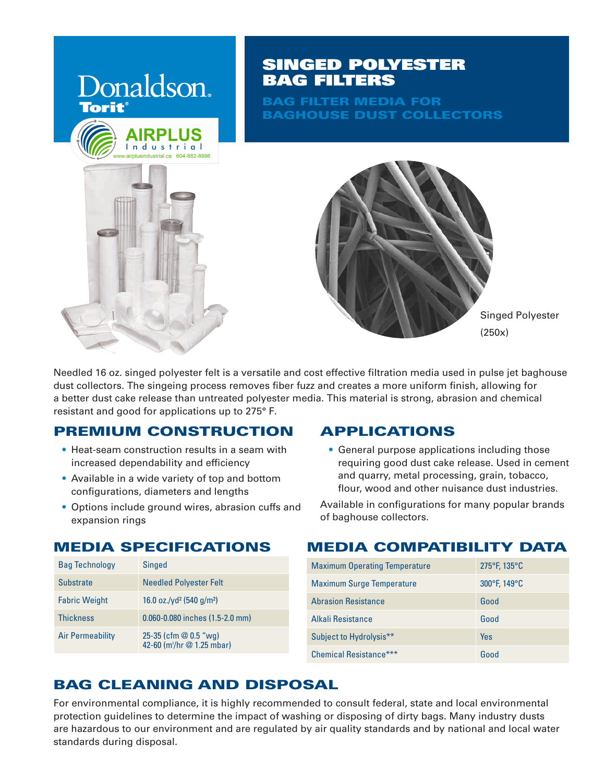

# SINGED POLYESTER BAG FILTERS

BAG FILTER MEDIA FOR BAGHOUSE DUST COLLECTORS



Needled 16 oz. singed polyester felt is a versatile and cost effective filtration media used in pulse jet baghouse dust collectors. The singeing process removes fiber fuzz and creates a more uniform finish, allowing for a better dust cake release than untreated polyester media. This material is strong, abrasion and chemical resistant and good for applications up to 275° F.

## PREMIUM CONSTRUCTION

- Heat-seam construction results in a seam with increased dependability and efficiency
- Available in a wide variety of top and bottom configurations, diameters and lengths
- Options include ground wires, abrasion cuffs and expansion rings

# MEDIA SPECIFICATIONS

| <b>Bag Technology</b> | <b>Singed</b>                                                    |
|-----------------------|------------------------------------------------------------------|
| <b>Substrate</b>      | <b>Needled Polyester Felt</b>                                    |
| <b>Fabric Weight</b>  | 16.0 oz./yd <sup>2</sup> (540 g/m <sup>2</sup> )                 |
| <b>Thickness</b>      | 0.060-0.080 inches (1.5-2.0 mm)                                  |
| Air Permeability      | 25-35 (cfm $@0.5$ "wg)<br>42-60 (m <sup>3</sup> /hr @ 1.25 mbar) |

## APPLICATIONS

• General purpose applications including those requiring good dust cake release. Used in cement and quarry, metal processing, grain, tobacco, flour, wood and other nuisance dust industries.

Available in configurations for many popular brands of baghouse collectors.

## MEDIA COMPATIBILITY DATA

| <b>Maximum Operating Temperature</b> | $275^{\circ}$ F, 135 $^{\circ}$ C |  |  |
|--------------------------------------|-----------------------------------|--|--|
| <b>Maximum Surge Temperature</b>     | 300°F, 149°C                      |  |  |
| <b>Abrasion Resistance</b>           | Good                              |  |  |
| Alkali Resistance                    | Good                              |  |  |
| Subject to Hydrolysis**              | Yes                               |  |  |
| Chemical Resistance***               | Good                              |  |  |

# BAG CLEANING AND DISPOSAL

For environmental compliance, it is highly recommended to consult federal, state and local environmental protection guidelines to determine the impact of washing or disposing of dirty bags. Many industry dusts are hazardous to our environment and are regulated by air quality standards and by national and local water standards during disposal.